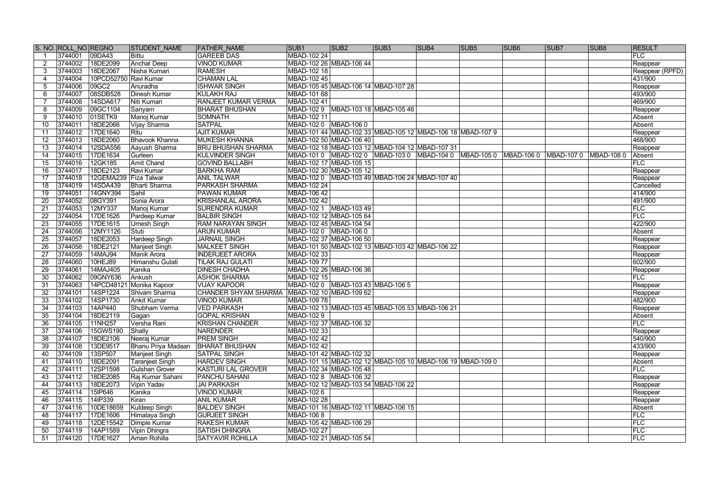|     | S. NO. ROLL NO REGNO |                       | <b>STUDENT NAME</b>      | <b>FATHER NAME</b>                               | SUB1               | SUB <sub>2</sub>                                           | SUB <sub>3</sub> | SUB <sub>4</sub> | SUB <sub>5</sub> | <b>SUB6</b>            | SUB <sub>7</sub> | SUB <sub>8</sub> | <b>RESULT</b>   |
|-----|----------------------|-----------------------|--------------------------|--------------------------------------------------|--------------------|------------------------------------------------------------|------------------|------------------|------------------|------------------------|------------------|------------------|-----------------|
|     | 3744001              | 09DA43                | Bittu                    | <b>GAREEB DAS</b>                                | <b>MBAD-102 24</b> |                                                            |                  |                  |                  |                        |                  |                  | <b>FLC</b>      |
|     | 3744002              | 18DE2099              | <b>Anchal Deep</b>       | <b>VINOD KUMAR</b>                               |                    | MBAD-102 26 MBAD-106 44                                    |                  |                  |                  |                        |                  |                  | Reappear        |
| 3   | 3744003              | 18DE2067              | Nisha Kumari             | <b>RAMESH</b>                                    | MBAD-102 18        |                                                            |                  |                  |                  |                        |                  |                  | Reappear (RPFD) |
| 4   | 3744004              | 10PCD52750 Ravi Kumar |                          | <b>CHAMAN LAL</b>                                | MBAD-102 45        |                                                            |                  |                  |                  |                        |                  |                  | 431/900         |
| 5   | 3744006              | 09GC2                 | Anuradha                 | <b>ISHWAR SINGH</b>                              |                    | MBAD-105 45 MBAD-106 14 MBAD-107 28                        |                  |                  |                  |                        |                  |                  | Reappear        |
| 6   | 3744007              | 08SDB528              | Dinesh Kumar             | <b>KULAKH RAJ</b>                                | MBAD-101 68        |                                                            |                  |                  |                  |                        |                  |                  | 493/900         |
|     | 3744008              | 14SDA617              | Niti Kumari              | <b>RANJEET KUMAR VERMA</b>                       | MBAD-102 41        |                                                            |                  |                  |                  |                        |                  |                  | 469/900         |
| 8   | 3744009              | 09GC1104              | Sanyam                   | <b>BHARAT BHUSHAN</b>                            |                    | MBAD-102 9   MBAD-103 18   MBAD-105 46                     |                  |                  |                  |                        |                  |                  | Reappear        |
| 9   | 3744010              | 01SETK9               | Manoj Kumar              | <b>SOMNATH</b>                                   | MBAD-102 11        |                                                            |                  |                  |                  |                        |                  |                  | Absent          |
| 10  | 3744011              | 18DE2066              | Vijay Sharma             | <b>SATPAL</b>                                    |                    |                                                            |                  |                  |                  |                        |                  |                  | Absent          |
| 11  | 3744012              | 17DE1640              | Ritu                     | <b>AJIT KUMAR</b>                                |                    | MBAD-101 44 MBAD-102 33 MBAD-105 12 MBAD-106 18 MBAD-107 9 |                  |                  |                  |                        |                  |                  | Reappear        |
| 12  | 3744013              | 18DE2060              | <b>Bhavook Khanna</b>    | <b>MUKESH KHANNA</b>                             |                    | MBAD-102 50 MBAD-106 40                                    |                  |                  |                  |                        |                  |                  | 468/900         |
| 13  | 3744014              | 12SDA556              | Aayush Sharma            | <b>BRIJ BHUSHAN SHARMA</b>                       |                    | MBAD-102 18 MBAD-103 12 MBAD-104 12 MBAD-107 31            |                  |                  |                  |                        |                  |                  | Reappear        |
| 14  | 3744015              | 17DE1634              | Gurleen                  | <b>KULVINDER SINGH</b>                           |                    |                                                            |                  |                  |                  | MBAD-106 0  MBAD-107 0 |                  | MBAD-108 0       | Absent          |
| 15  | 3744016              | 12GK185               | Amit Chand               | <b>GOVIND BALLABH</b>                            |                    | MBAD-102 17 MBAD-105 15                                    |                  |                  |                  |                        |                  |                  | FLC             |
| 16  | 3744017              | 18DE2123              | Ravi Kumar               | <b>BARKHA RAM</b>                                |                    | MBAD-102 30 MBAD-105 12                                    |                  |                  |                  |                        |                  |                  | Reappear        |
| 17  | 3744018              | 12GEMA239             | <b>Fiza Talwar</b>       | <b>ANIL TALWAR</b>                               |                    |                                                            |                  |                  |                  |                        |                  |                  | Reappear        |
| 18  | 3744019              | 14SDA439              | <b>Bharti Sharma</b>     | PARKASH SHARMA                                   | MBAD-102 24        |                                                            |                  |                  |                  |                        |                  |                  | Cancelled       |
| 19  | 3744051              | 14GNY394              | Sahil                    | PAWAN KUMAR                                      | <b>MBAD-106 42</b> |                                                            |                  |                  |                  |                        |                  |                  | 414/900         |
| 20  | 3744052              | 08GY391               | Sonia Arora              | <b>KRISHANLAL ARORA</b>                          | <b>MBAD-102 42</b> |                                                            |                  |                  |                  |                        |                  |                  | 491/900         |
| 21  | 3744053              | 12MY337               | Manoj Kumar              | <b>SURENDRA KUMAR</b>                            |                    | MBAD-102 1 MBAD-103 49                                     |                  |                  |                  |                        |                  |                  | FLC             |
| 22  | 3744054              | 17DE1626              | Pardeep Kumar            | <b>BALBIR SINGH</b>                              |                    | MBAD-102 12 MBAD-105 64                                    |                  |                  |                  |                        |                  |                  | <b>FLC</b>      |
| 23  | 3744055              | 17DE1615              | <b>Umesh Singh</b>       | <b>RAM NARAYAN SINGH</b>                         |                    | MBAD-102 45 MBAD-104 54                                    |                  |                  |                  |                        |                  |                  | 422/900         |
| 24  | 3744056              | 12MY1126              | Stuti                    | <b>ARUN KUMAR</b>                                |                    |                                                            |                  |                  |                  |                        |                  |                  | Absent          |
| 25  | 3744057              | 18DE2053              | Hardeep Singh            | <b>JARNAIL SINGH</b>                             |                    | MBAD-102 37 MBAD-106 50                                    |                  |                  |                  |                        |                  |                  | Reappear        |
| 26  | 3744058              | 18DE2121              | <b>Manjeet Singh</b>     | MALKEET SINGH                                    |                    | MBAD-101 50 MBAD-102 13 MBAD-103 42 MBAD-106 22            |                  |                  |                  |                        |                  |                  | Reappear        |
| 27  | 3744059              | 14MAJ94               | <b>Manik Arora</b>       | <b>INDERJEET ARORA</b>                           | MBAD-102 33        |                                                            |                  |                  |                  |                        |                  |                  | Reappear        |
| 28  | 3744060              | 10HEJ89               | Himanshu Gulati          | <b>TILAK RAJ GULATI</b>                          | <b>MBAD-10977</b>  |                                                            |                  |                  |                  |                        |                  |                  | 602/900         |
| 29  | 3744061              | 14MAJ405              | Kanika                   | <b>DINESH CHADHA</b>                             |                    | MBAD-102 26 MBAD-106 36                                    |                  |                  |                  |                        |                  |                  | Reappear        |
| 30  | 3744062              | 09GNY636              | Ankush                   | <b>ASHOK SHARMA</b>                              | <b>MBAD-102 15</b> |                                                            |                  |                  |                  |                        |                  |                  | <b>FLC</b>      |
| 31  | 3744063              |                       | 14PCD48121 Monika Kapoor | <b>VIJAY KAPOOR</b>                              |                    | MBAD-102 0   MBAD-103 43   MBAD-106 5                      |                  |                  |                  |                        |                  |                  | Reappear        |
| 32  | 3744101              | 14SP1224              | Shivam Sharma            | CHANDER SHYAM SHARMA   MBAD-102 10   MBAD-109 62 |                    |                                                            |                  |                  |                  |                        |                  |                  | Reappear        |
| 33  | 3744102              | 14SP1730              | <b>Ankit Kumar</b>       | <b>VINOD KUMAR</b>                               | <b>MBAD-10978</b>  |                                                            |                  |                  |                  |                        |                  |                  | 482/900         |
| 34  | 3744103              | 14AP440               | Shubham Verma            | <b>VED PARKASH</b>                               |                    | MBAD-102 13 MBAD-103 45 MBAD-105 53 MBAD-106 21            |                  |                  |                  |                        |                  |                  | Reappear        |
| 35  | 3744104              | 18DE2119              | Gagan                    | <b>GOPAL KRISHAN</b>                             | <b>MBAD-1029</b>   |                                                            |                  |                  |                  |                        |                  |                  | Absent          |
| 36  | 3744105              | 11NH257               | Versha Rani              | <b>KRISHAN CHANDER</b>                           |                    | MBAD-102 37 MBAD-106 32                                    |                  |                  |                  |                        |                  |                  | FLC             |
| 37  | 3744106              | 15GWS190              | Shally                   | <b>NARENDER</b>                                  | MBAD-102 33        |                                                            |                  |                  |                  |                        |                  |                  | Reappear        |
| 38  | 3744107              | 18DE2106              | Neeraj Kumar             | <b>PREM SINGH</b>                                | MBAD-102 42        |                                                            |                  |                  |                  |                        |                  |                  | 540/900         |
| 39  | 3744108              | 13DE9517              | Bhanu Priya Madaan       | <b>BHARAT BHUSHAN</b>                            | MBAD-102 42        |                                                            |                  |                  |                  |                        |                  |                  | 433/900         |
| 40  | 3744109              | 13SP507               | Manjeet Singh            | <b>SATPAL SINGH</b>                              |                    | MBAD-101 42 MBAD-102 32                                    |                  |                  |                  |                        |                  |                  | Reappear        |
| 41  | 3744110              | 18DE2091              | <b>Taranjeet Singh</b>   | <b>HARDEV SINGH</b>                              |                    | MBAD-101 15 MBAD-102 12 MBAD-105 10 MBAD-106 19 MBAD-109 0 |                  |                  |                  |                        |                  |                  | Absent          |
| 42  | 3744111              | 12SP1598              | <b>Gulshan Grover</b>    | <b>KASTURI LAL GROVER</b>                        |                    | MBAD-102 34 MBAD-105 48                                    |                  |                  |                  |                        |                  |                  | FLC             |
| 43  | 3744112              | 18DE2085              | Raj Kumar Sahani         | <b>PANCHU SAHANI</b>                             |                    | MBAD-102 8 MBAD-106 32                                     |                  |                  |                  |                        |                  |                  | Reappear        |
| 44  | 3744113              | 18DE2073              | Vipin Yadav              | <b>JAI PARKASH</b>                               |                    | MBAD-102 12 MBAD-103 54 MBAD-106 22                        |                  |                  |                  |                        |                  |                  | Reappear        |
| 45  | 3744114              | 15IP646               | Kanika                   | <b>VINOD KUMAR</b>                               | <b>MBAD-1026</b>   |                                                            |                  |                  |                  |                        |                  |                  | Reappear        |
| 46  | 3744115              | 14IP339               | Kiran                    | <b>ANIL KUMAR</b>                                | <b>MBAD-102 28</b> |                                                            |                  |                  |                  |                        |                  |                  | Reappear        |
| 47  | 3744116              | 10DE18659             | Kuldeep Singh            | <b>BALDEV SINGH</b>                              |                    | MBAD-101 16 MBAD-102 11 MBAD-106 15                        |                  |                  |                  |                        |                  |                  | Absent          |
| 48  | 3744117              | 17DE1606              | Himalaya Singh           | <b>GURJEET SINGH</b>                             | <b>MBAD-1068</b>   |                                                            |                  |                  |                  |                        |                  |                  | FLC             |
| 49  | 3744118              | 12DE15542             | Dimple Kumar             | <b>RAKESH KUMAR</b>                              |                    | MBAD-105 42 MBAD-106 29                                    |                  |                  |                  |                        |                  |                  | <b>FLC</b>      |
| 50  | 3744119              | 14AP1589              | Vipin Dhingra            | <b>SATISH DHINGRA</b>                            | <b>MBAD-102 27</b> |                                                            |                  |                  |                  |                        |                  |                  | FLC             |
| -51 | 3744120              | 17DE1627              | Aman Rohilla             | <b>SATYAVIR ROHILLA</b>                          |                    | MBAD-102 21 MBAD-105 54                                    |                  |                  |                  |                        |                  |                  | FLC             |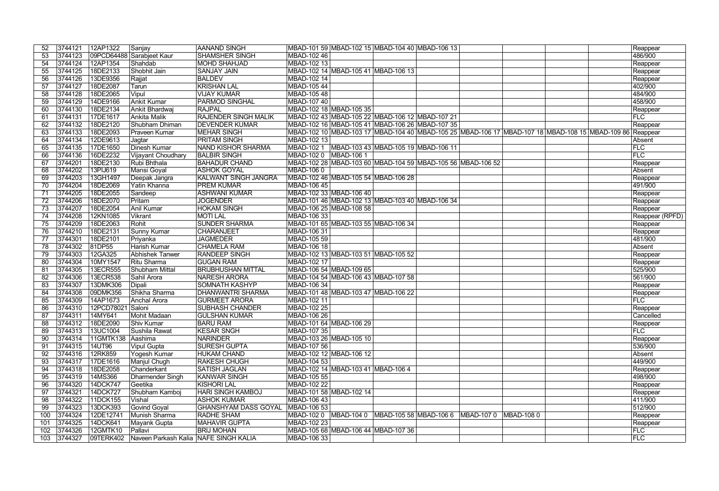|     | 3744121     | 12AP1322          | Sanjay                                | AANAND SINGH                |                    | MBAD-101 59 MBAD-102 15 MBAD-104 40 MBAD-106 13      |                                                                                                          |            |                     |
|-----|-------------|-------------------|---------------------------------------|-----------------------------|--------------------|------------------------------------------------------|----------------------------------------------------------------------------------------------------------|------------|---------------------|
| 52  |             |                   |                                       |                             | MBAD-102 46        |                                                      |                                                                                                          |            | Reappear<br>486/900 |
| 53  | 3744123     |                   | 09PCD64488 Sarabjeet Kaur<br>Shahdab  | <b>SHAMSHER SINGH</b>       |                    |                                                      |                                                                                                          |            |                     |
| 54  | 3744124     | 12AP1354          |                                       | <b>MOHD SHAHJAD</b>         | MBAD-102 13        |                                                      |                                                                                                          |            | Reappear            |
| 55  | 3744125     | 18DE2133          | Shobhit Jain                          | <b>SANJAY JAIN</b>          |                    | MBAD-102 14 MBAD-105 41 MBAD-106 13                  |                                                                                                          |            | Reappear            |
| 56  | 3744126     | 13DE9356          | Rajjat                                | <b>BALDEV</b>               | MBAD-102 14        |                                                      |                                                                                                          |            | Reappear            |
| 57  | 3744127     | 18DE2087          | Tarun                                 | <b>KRISHAN LAL</b>          | MBAD-105 44        |                                                      |                                                                                                          |            | 402/900             |
| 58  | 3744128     | 18DE2065          | Vipul                                 | <b>VIJAY KUMAR</b>          | MBAD-105 48        |                                                      |                                                                                                          |            | 484/900             |
| 59  | 3744129     | 14DE9166          | Ankit Kumar                           | <b>PARMOD SINGHAL</b>       | <b>MBAD-107 40</b> |                                                      |                                                                                                          |            | 458/900             |
| 60  | 3744130     | 18DE2134          | Ankit Bhardwaj                        | <b>RAJPAL</b>               |                    | MBAD-102 18 MBAD-105 35                              |                                                                                                          |            | Reappear            |
| 61  | 3744131     | 17DE1617          | Ankita Malik                          | <b>RAJENDER SINGH MALIK</b> |                    | MBAD-102 43 MBAD-105 22 MBAD-106 12 MBAD-107 21      |                                                                                                          |            | FLC                 |
| 62  | 3744132     | 18DE2120          | <b>Shubham Dhiman</b>                 | <b>DEVENDER KUMAR</b>       |                    | MBAD-102 16 MBAD-105 41 MBAD-106 26 MBAD-107 35      |                                                                                                          |            | Reappear            |
| 63  | 3744133     | 18DE2093          | <b>Praveen Kumar</b>                  | <b>MEHAR SINGH</b>          |                    |                                                      | MBAD-102 10 MBAD-103 17 MBAD-104 40 MBAD-105 25 MBAD-106 17 MBAD-107 18 MBAD-108 15 MBAD-109 86 Reappear |            |                     |
| 64  | 3744134     | 12DE9613          | Jagtar                                | <b>PRITAM SINGH</b>         | MBAD-102 13        |                                                      |                                                                                                          |            | Absent              |
| 65  | 3744135     | 17DE1650          | <b>Dinesh Kumar</b>                   | NAND KISHOR SHARMA          |                    | MBAD-102 1   MBAD-103 43   MBAD-105 19   MBAD-106 11 |                                                                                                          |            | <b>FLC</b>          |
| 66  | 3744136     | 16DE2232          | Vijayant Choudhary                    | <b>BALBIR SINGH</b>         |                    |                                                      |                                                                                                          |            | FLC                 |
| 67  | 3744201     | 18DE2130          | Rubi Bhthala                          | <b>BAHADUR CHAND</b>        |                    |                                                      | MBAD-102 28 MBAD-103 60 MBAD-104 59 MBAD-105 56 MBAD-106 52                                              |            | Reappear            |
| 68  | 3744202     | 13PIJ619          | Mansi Goyal                           | <b>ASHOK GOYAL</b>          | <b>MBAD-1060</b>   |                                                      |                                                                                                          |            | Absent              |
| 69  | 3744203     | 13GH1497          | Deepak Jangra                         | <b>KALWANT SINGH JANGRA</b> |                    | MBAD-102 46 MBAD-105 54 MBAD-106 28                  |                                                                                                          |            | Reappear            |
| 70  | 3744204     | 18DE2069          | Yatin Khanna                          | <b>PREM KUMAR</b>           | <b>MBAD-106 45</b> |                                                      |                                                                                                          |            | 491/900             |
| 71  | 3744205     | 18DE2055          | Sandeep                               | <b>ASHWANI KUMAR</b>        |                    | MBAD-102 33 MBAD-106 40                              |                                                                                                          |            | Reappear            |
| 72  | 3744206     | 18DE2070          | Pritam                                | <b>JOGENDER</b>             |                    | MBAD-101 46 MBAD-102 13 MBAD-103 40 MBAD-106 34      |                                                                                                          |            | Reappear            |
| 73  | 3744207     | 18DE2054          | Anil Kumar                            | <b>HOKAM SINGH</b>          |                    | MBAD-106 25 MBAD-108 58                              |                                                                                                          |            | Reappear            |
| 74  | 3744208     | 12KN1085          | <b>Vikrant</b>                        | <b>MOTILAL</b>              | MBAD-106 33        |                                                      |                                                                                                          |            | Reappear (RPFD)     |
| 75  | 3744209     | 18DE2063          | Rohit                                 | <b>SUNDER SHARMA</b>        |                    | MBAD-101 65 MBAD-103 55 MBAD-106 34                  |                                                                                                          |            |                     |
|     | 3744210     | 18DE2131          |                                       |                             | MBAD-106 31        |                                                      |                                                                                                          |            | Reappear            |
| 76  |             |                   | Sunny Kumar                           | <b>CHARANJEET</b>           |                    |                                                      |                                                                                                          |            | Reappear            |
| 77  | 3744301     | 18DE2101          | Priyanka                              | <b>JAGMEDER</b>             | MBAD-105 59        |                                                      |                                                                                                          |            | 481/900             |
| 78  | 3744302     | 81DP55            | Harish Kumar                          | <b>CHAMELA RAM</b>          | <b>MBAD-106 18</b> |                                                      |                                                                                                          |            | Absent              |
| 79  | 3744303     | 12GA325           | <b>Abhishek Tanwer</b>                | <b>RANDEEP SINGH</b>        |                    | MBAD-102 13 MBAD-103 51 MBAD-105 52                  |                                                                                                          |            | Reappear            |
| 80  | 3744304     | 10MY1547          | <b>Ritu Sharma</b>                    | <b>GUGAN RAM</b>            | MBAD-102 17        |                                                      |                                                                                                          |            | Reappear            |
| 81  | 3744305     | 13ECR555          | Shubham Mittal                        | <b>BRIJBHUSHAN MITTAL</b>   |                    | MBAD-106 54 MBAD-109 65                              |                                                                                                          |            | 525/900             |
| 82  | 3744306     | 13ECR538          | Sahil Arora                           | NARESH ARORA                |                    | MBAD-104 54 MBAD-106 43 MBAD-107 58                  |                                                                                                          |            | 561/900             |
| 83  | 3744307     | 13DMK306          | Dipali                                | <b>SOMNATH KASHYP</b>       | <b>MBAD-106 34</b> |                                                      |                                                                                                          |            | Reappear            |
| 84  | 3744308     | 09DMK356          | Shikha Sharma                         | DHANWANTRI SHARMA           |                    | MBAD-101 48 MBAD-103 47 MBAD-106 22                  |                                                                                                          |            | Reappear            |
| 85  | 3744309     | 14AP1673          | <b>Anchal Arora</b>                   | <b>GURMEET ARORA</b>        | MBAD-102 11        |                                                      |                                                                                                          |            | <b>FLC</b>          |
| 86  | 3744310     | 12PCD78021 Saloni |                                       | <b>SUBHASH CHANDER</b>      | <b>MBAD-102 25</b> |                                                      |                                                                                                          |            | Reappear            |
| 87  | 3744311     | 14MY641           | Mohit Madaan                          | <b>GULSHAN KUMAR</b>        | MBAD-106 26        |                                                      |                                                                                                          |            | Cancelled           |
| 88  | 3744312     | 18DE2090          | Shiv Kumar                            | <b>BARU RAM</b>             |                    | MBAD-101 64 MBAD-106 29                              |                                                                                                          |            | Reappear            |
| 89  | 3744313     | 13UC1004          | Sushila Rawat                         | <b>KESAR SNGH</b>           | MBAD-107 35        |                                                      |                                                                                                          |            | <b>FLC</b>          |
| 90  | 3744314     | 11GMTK138 Aashima |                                       | NARINDER                    |                    | MBAD-103 26 MBAD-105 10                              |                                                                                                          |            | Reappear            |
| 91  | 3744315     | 14UT96            | <b>Vipul Gupta</b>                    | <b>SURESH GUPTA</b>         | <b>MBAD-107 56</b> |                                                      |                                                                                                          |            | 536/900             |
| 92  | 3744316     | 12RK859           | Yogesh Kumar                          | <b>HUKAM CHAND</b>          |                    | MBAD-102 12 MBAD-106 12                              |                                                                                                          |            | Absent              |
| 93  | 3744317     | 17DE1616          | Manjul Chugh                          | <b>RAKESH CHUGH</b>         | MBAD-104 53        |                                                      |                                                                                                          |            | 449/900             |
| 94  | 3744318     | 18DE2058          | Chanderkant                           | <b>SATISH JAGLAN</b>        |                    | MBAD-102 14 MBAD-103 41 MBAD-106 4                   |                                                                                                          |            | Reappear            |
| 95  | 3744319     | 14MS366           | Dharmender Singh                      | <b>KANWAR SINGH</b>         | <b>MBAD-105 55</b> |                                                      |                                                                                                          |            | 498/900             |
| 96  | 3744320     | 14DCK747          | $G$ eetika                            | <b>KISHORI LAL</b>          | <b>MBAD-102 22</b> |                                                      |                                                                                                          |            | Reappear            |
| 97  | 3744321     | 14DCK727          | Shubham Kamboj                        | <b>HARI SINGH KAMBOJ</b>    |                    | MBAD-101 58 MBAD-102 14                              |                                                                                                          |            | Reappear            |
| 98  | 3744322     | 11DCK155          | Vishal                                | <b>ASHOK KUMAR</b>          | MBAD-106 43        |                                                      |                                                                                                          |            | 411/900             |
| 99  | 3744323     | 13DCK393          | Govind Goyal                          | <b>GHANSHYAM DASS GOYAL</b> | MBAD-106 53        |                                                      |                                                                                                          |            | 512/900             |
| 100 | 3744324     | 12DE12741         | Munish Sharma                         | <b>RADHE SHAM</b>           |                    |                                                      |                                                                                                          | MBAD-108 0 | Reappear            |
| 101 | 3744325     | 14DCK641          | Mayank Gupta                          | <b>MAHAVIR GUPTA</b>        | MBAD-102 23        |                                                      |                                                                                                          |            | Reappear            |
| 102 | 3744326     | 12GMTK10          | Pallavi                               | <b>BRIJ MOHAN</b>           |                    | MBAD-105 68 MBAD-106 44 MBAD-107 36                  |                                                                                                          |            | <b>FLC</b>          |
|     | 103 3744327 | 09TERK402         | Naveen Parkash Kalia NAFE SINGH KALIA |                             | MBAD-106 33        |                                                      |                                                                                                          |            | <b>FLC</b>          |